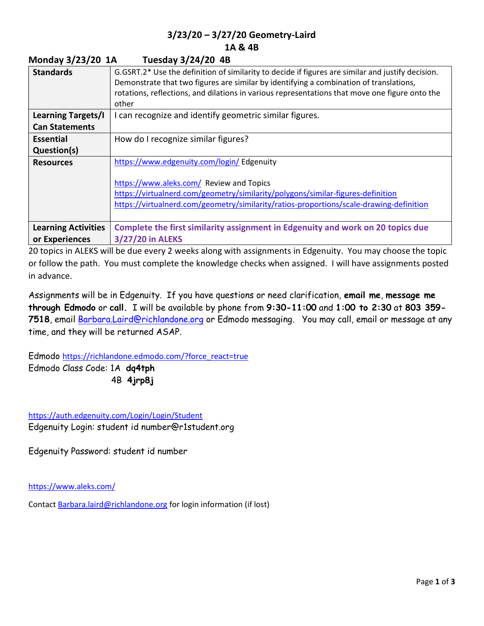## 3/23/20 – 3/27/20 Geometry-Laird 1A & 4B

| 1<br>$1003000$ $312720$ $70$ |                                                                                                                                                                                                                                                                                                        |
|------------------------------|--------------------------------------------------------------------------------------------------------------------------------------------------------------------------------------------------------------------------------------------------------------------------------------------------------|
| <b>Standards</b>             | G.GSRT.2* Use the definition of similarity to decide if figures are similar and justify decision.<br>Demonstrate that two figures are similar by identifying a combination of translations,<br>rotations, reflections, and dilations in various representations that move one figure onto the<br>other |
| <b>Learning Targets/I</b>    | I can recognize and identify geometric similar figures.                                                                                                                                                                                                                                                |
| <b>Can Statements</b>        |                                                                                                                                                                                                                                                                                                        |
| <b>Essential</b>             | How do I recognize similar figures?                                                                                                                                                                                                                                                                    |
| Question(s)                  |                                                                                                                                                                                                                                                                                                        |
| <b>Resources</b>             | https://www.edgenuity.com/login/ Edgenuity                                                                                                                                                                                                                                                             |
|                              | https://www.aleks.com/ Review and Topics<br>https://virtualnerd.com/geometry/similarity/polygons/similar-figures-definition<br>https://virtualnerd.com/geometry/similarity/ratios-proportions/scale-drawing-definition                                                                                 |
| <b>Learning Activities</b>   | Complete the first similarity assignment in Edgenuity and work on 20 topics due                                                                                                                                                                                                                        |
| or Experiences               | 3/27/20 in ALEKS                                                                                                                                                                                                                                                                                       |

20 topics in ALEKS will be due every 2 weeks along with assignments in Edgenuity. You may choose the topic or follow the path. You must complete the knowledge checks when assigned. I will have assignments posted in advance.

Assignments will be in Edgenuity. If you have questions or need clarification, email me, message me through Edmodo or call. I will be available by phone from 9:30-11:00 and 1:00 to 2:30 at 803 359- 7518, email Barbara.Laird@richlandone.org or Edmodo messaging. You may call, email or message at any time, and they will be returned ASAP.

Edmodo https://richlandone.edmodo.com/?force\_react=true Edmodo Class Code: 1A dq4tph 4B 4jrp8j

Monday 3/23/20 1A Tuesday 3/24/20 4B

https://auth.edgenuity.com/Login/Login/Student Edgenuity Login: student id number@r1student.org

Edgenuity Password: student id number

https://www.aleks.com/

Contact Barbara.laird@richlandone.org for login information (if lost)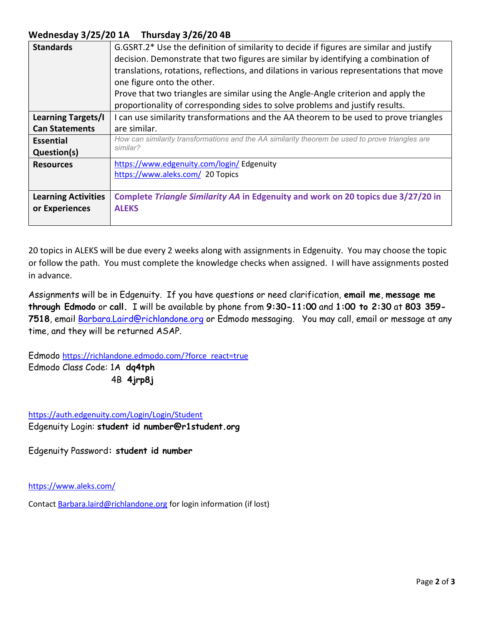## Wednesday 3/25/20 1A Thursday 3/26/20 4B

| <b>Standards</b>           | G.GSRT.2* Use the definition of similarity to decide if figures are similar and justify<br>decision. Demonstrate that two figures are similar by identifying a combination of<br>translations, rotations, reflections, and dilations in various representations that move<br>one figure onto the other. |
|----------------------------|---------------------------------------------------------------------------------------------------------------------------------------------------------------------------------------------------------------------------------------------------------------------------------------------------------|
|                            | Prove that two triangles are similar using the Angle-Angle criterion and apply the                                                                                                                                                                                                                      |
|                            | proportionality of corresponding sides to solve problems and justify results.                                                                                                                                                                                                                           |
| <b>Learning Targets/I</b>  | I can use similarity transformations and the AA theorem to be used to prove triangles                                                                                                                                                                                                                   |
| <b>Can Statements</b>      | are similar.                                                                                                                                                                                                                                                                                            |
| Essential                  | How can similarity transformations and the AA similarity theorem be used to prove triangles are                                                                                                                                                                                                         |
| Question(s)                | similar?                                                                                                                                                                                                                                                                                                |
| <b>Resources</b>           | https://www.edgenuity.com/login/ Edgenuity                                                                                                                                                                                                                                                              |
|                            | https://www.aleks.com/ 20 Topics                                                                                                                                                                                                                                                                        |
|                            |                                                                                                                                                                                                                                                                                                         |
| <b>Learning Activities</b> | Complete Triangle Similarity AA in Edgenuity and work on 20 topics due 3/27/20 in                                                                                                                                                                                                                       |
| or Experiences             | <b>ALEKS</b>                                                                                                                                                                                                                                                                                            |
|                            |                                                                                                                                                                                                                                                                                                         |

20 topics in ALEKS will be due every 2 weeks along with assignments in Edgenuity. You may choose the topic or follow the path. You must complete the knowledge checks when assigned. I will have assignments posted in advance.

Assignments will be in Edgenuity. If you have questions or need clarification, email me, message me through Edmodo or call. I will be available by phone from 9:30-11:00 and 1:00 to 2:30 at 803 359- 7518, email Barbara.Laird@richlandone.org or Edmodo messaging. You may call, email or message at any time, and they will be returned ASAP.

Edmodo https://richlandone.edmodo.com/?force\_react=true Edmodo Class Code: 1A dq4tph 4B 4jrp8j

https://auth.edgenuity.com/Login/Login/Student Edgenuity Login: student id number@r1student.org

Edgenuity Password: student id number

https://www.aleks.com/

Contact Barbara.laird@richlandone.org for login information (if lost)